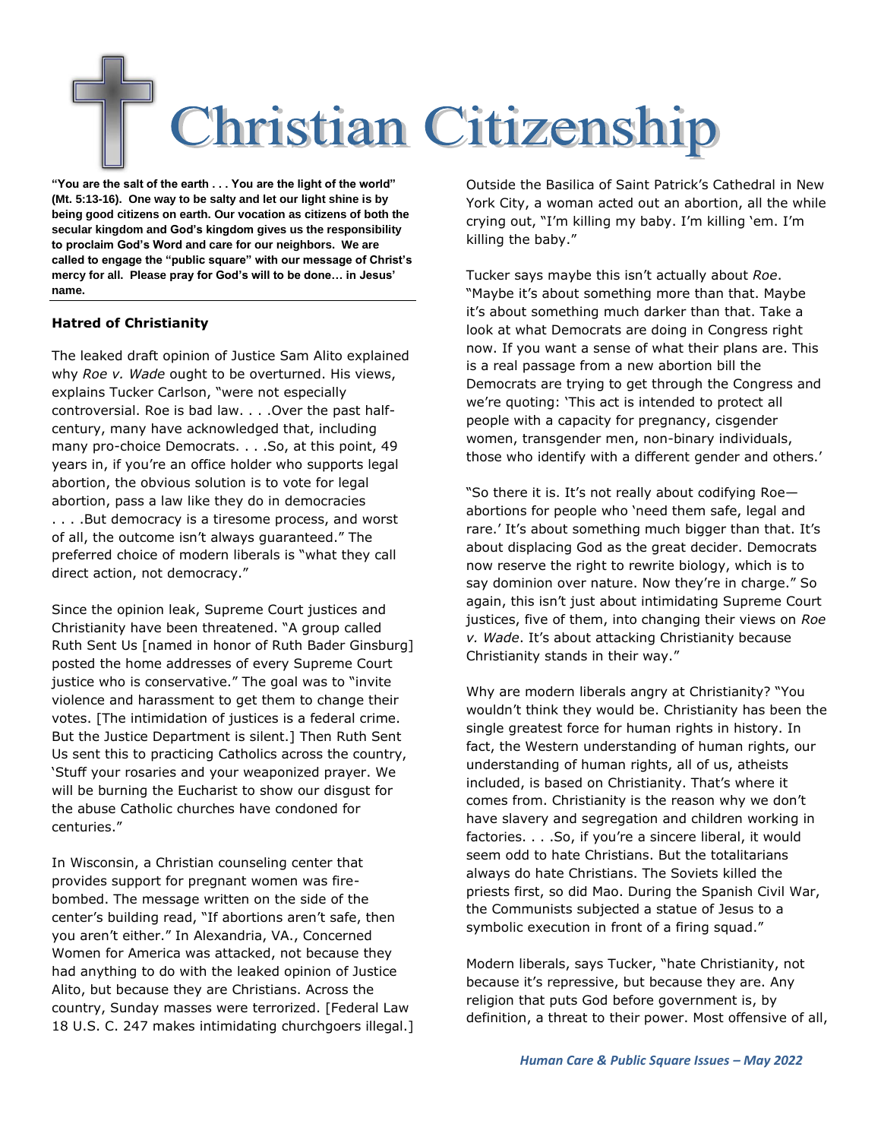## **Christian Citizenship**

**"You are the salt of the earth . . . You are the light of the world" (Mt. 5:13-16). One way to be salty and let our light shine is by being good citizens on earth. Our vocation as citizens of both the secular kingdom and God's kingdom gives us the responsibility to proclaim God's Word and care for our neighbors. We are called to engage the "public square" with our message of Christ's mercy for all. Please pray for God's will to be done… in Jesus' name.**

## **Hatred of Christianity**

The leaked draft opinion of Justice Sam Alito explained why *Roe v. Wade* ought to be overturned. His views, explains Tucker Carlson, "were not especially controversial. Roe is bad law. . . .Over the past halfcentury, many have acknowledged that, including many pro-choice Democrats. . . .So, at this point, 49 years in, if you're an office holder who supports legal abortion, the obvious solution is to vote for legal abortion, pass a law like they do in democracies . . . .But democracy is a tiresome process, and worst of all, the outcome isn't always guaranteed." The preferred choice of modern liberals is "what they call direct action, not democracy."

Since the opinion leak, Supreme Court justices and Christianity have been threatened. "A group called Ruth Sent Us [named in honor of Ruth Bader Ginsburg] posted the home addresses of every Supreme Court justice who is conservative." The goal was to "invite violence and harassment to get them to change their votes. [The intimidation of justices is a federal crime. But the Justice Department is silent.] Then Ruth Sent Us sent this to practicing Catholics across the country, 'Stuff your rosaries and your weaponized prayer. We will be burning the Eucharist to show our disgust for the abuse Catholic churches have condoned for centuries."

In Wisconsin, a Christian counseling center that provides support for pregnant women was firebombed. The message written on the side of the center's building read, "If abortions aren't safe, then you aren't either." In Alexandria, VA., Concerned Women for America was attacked, not because they had anything to do with the leaked opinion of Justice Alito, but because they are Christians. Across the country, Sunday masses were terrorized. [Federal Law 18 U.S. C. 247 makes intimidating churchgoers illegal.] Outside the Basilica of Saint Patrick's Cathedral in New York City, a woman acted out an abortion, all the while crying out, "I'm killing my baby. I'm killing 'em. I'm killing the baby."

Tucker says maybe this isn't actually about *Roe*. "Maybe it's about something more than that. Maybe it's about something much darker than that. Take a look at what Democrats are doing in Congress right now. If you want a sense of what their plans are. This is a real passage from a new abortion bill the Democrats are trying to get through the Congress and we're quoting: 'This act is intended to protect all people with a capacity for pregnancy, cisgender women, transgender men, non-binary individuals, those who identify with a different gender and others.'

"So there it is. It's not really about codifying Roe abortions for people who 'need them safe, legal and rare.' It's about something much bigger than that. It's about displacing God as the great decider. Democrats now reserve the right to rewrite biology, which is to say dominion over nature. Now they're in charge." So again, this isn't just about intimidating Supreme Court justices, five of them, into changing their views on *Roe v. Wade*. It's about attacking Christianity because Christianity stands in their way."

Why are modern liberals angry at Christianity? "You wouldn't think they would be. Christianity has been the single greatest force for human rights in history. In fact, the Western understanding of human rights, our understanding of human rights, all of us, atheists included, is based on Christianity. That's where it comes from. Christianity is the reason why we don't have slavery and segregation and children working in factories. . . .So, if you're a sincere liberal, it would seem odd to hate Christians. But the totalitarians always do hate Christians. The Soviets killed the priests first, so did Mao. During the Spanish Civil War, the Communists subjected a statue of Jesus to a symbolic execution in front of a firing squad."

Modern liberals, says Tucker, "hate Christianity, not because it's repressive, but because they are. Any religion that puts God before government is, by definition, a threat to their power. Most offensive of all,